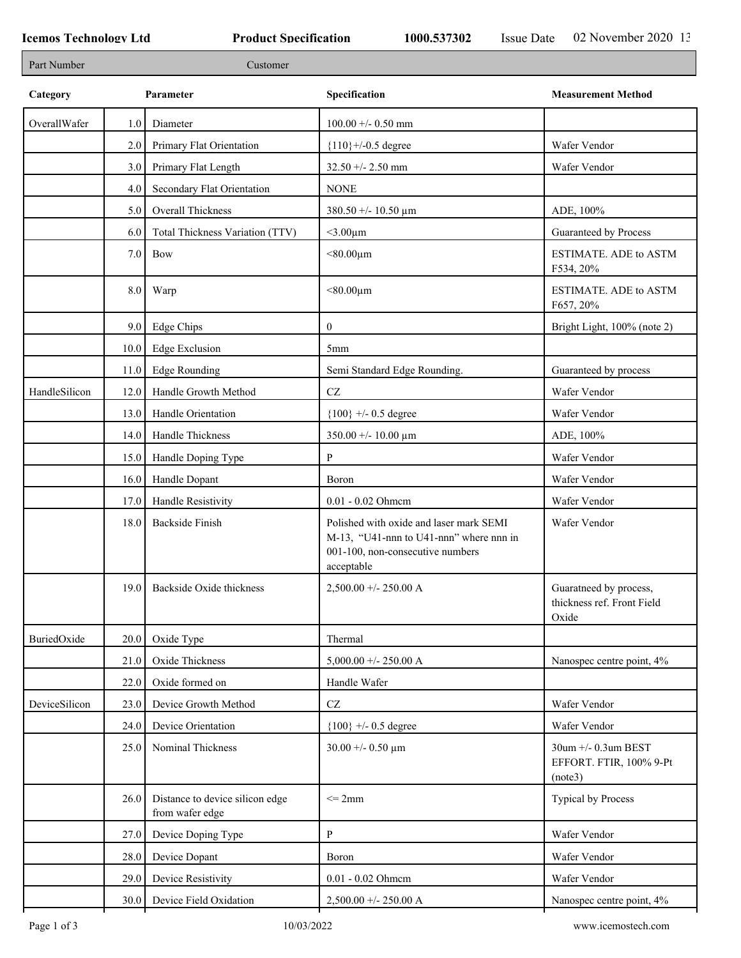| Part Number   |      | Customer                                           |                                                                                                                                      |                                                              |
|---------------|------|----------------------------------------------------|--------------------------------------------------------------------------------------------------------------------------------------|--------------------------------------------------------------|
| Category      |      | Parameter                                          | Specification                                                                                                                        | <b>Measurement Method</b>                                    |
| OverallWafer  | 1.0  | Diameter                                           | $100.00 + - 0.50$ mm                                                                                                                 |                                                              |
|               | 2.0  | Primary Flat Orientation                           | ${110}$ +/-0.5 degree                                                                                                                | Wafer Vendor                                                 |
|               | 3.0  | Primary Flat Length                                | $32.50 + - 2.50$ mm                                                                                                                  | Wafer Vendor                                                 |
|               | 4.0  | Secondary Flat Orientation                         | <b>NONE</b>                                                                                                                          |                                                              |
|               | 5.0  | Overall Thickness                                  | 380.50 +/- 10.50 $\mu$ m                                                                                                             | ADE, 100%                                                    |
|               | 6.0  | Total Thickness Variation (TTV)                    | $<$ 3.00 $\mu$ m                                                                                                                     | Guaranteed by Process                                        |
|               | 7.0  | <b>Bow</b>                                         | $< 80.00 \mu m$                                                                                                                      | <b>ESTIMATE. ADE to ASTM</b><br>F534, 20%                    |
|               | 8.0  | Warp                                               | $< 80.00 \mu m$                                                                                                                      | <b>ESTIMATE. ADE to ASTM</b><br>F657, 20%                    |
|               | 9.0  | Edge Chips                                         | $\mathbf{0}$                                                                                                                         | Bright Light, 100% (note 2)                                  |
|               | 10.0 | <b>Edge Exclusion</b>                              | 5mm                                                                                                                                  |                                                              |
|               | 11.0 | Edge Rounding                                      | Semi Standard Edge Rounding.                                                                                                         | Guaranteed by process                                        |
| HandleSilicon | 12.0 | Handle Growth Method                               | $\operatorname{CZ}$                                                                                                                  | Wafer Vendor                                                 |
|               | 13.0 | Handle Orientation                                 | ${100}$ +/- 0.5 degree                                                                                                               | Wafer Vendor                                                 |
|               | 14.0 | Handle Thickness                                   | $350.00 + - 10.00 \mu m$                                                                                                             | ADE, 100%                                                    |
|               | 15.0 | Handle Doping Type                                 | P                                                                                                                                    | Wafer Vendor                                                 |
|               | 16.0 | Handle Dopant                                      | Boron                                                                                                                                | Wafer Vendor                                                 |
|               | 17.0 | Handle Resistivity                                 | $0.01 - 0.02$ Ohmem                                                                                                                  | Wafer Vendor                                                 |
|               | 18.0 | <b>Backside Finish</b>                             | Polished with oxide and laser mark SEMI<br>M-13, "U41-nnn to U41-nnn" where nnn in<br>001-100, non-consecutive numbers<br>acceptable | Wafer Vendor                                                 |
|               |      | 19.0 Backside Oxide thickness                      | $2,500.00 + - 250.00 A$                                                                                                              | Guaratneed by process<br>thickness ref. Front Field<br>Oxide |
| BuriedOxide   | 20.0 | Oxide Type                                         | Thermal                                                                                                                              |                                                              |
|               | 21.0 | Oxide Thickness                                    | $5,000.00 +/- 250.00 A$                                                                                                              | Nanospec centre point, 4%                                    |
|               | 22.0 | Oxide formed on                                    | Handle Wafer                                                                                                                         |                                                              |
| DeviceSilicon | 23.0 | Device Growth Method                               | $\operatorname{CZ}$                                                                                                                  | Wafer Vendor                                                 |
|               | 24.0 | Device Orientation                                 | $\{100\}$ +/- 0.5 degree                                                                                                             | Wafer Vendor                                                 |
|               | 25.0 | Nominal Thickness                                  | $30.00 + - 0.50 \mu m$                                                                                                               | 30um +/- 0.3um BEST<br>EFFORT. FTIR, 100% 9-Pt<br>(note3)    |
|               | 26.0 | Distance to device silicon edge<br>from wafer edge | $\leq$ 2mm                                                                                                                           | Typical by Process                                           |
|               | 27.0 | Device Doping Type                                 | P                                                                                                                                    | Wafer Vendor                                                 |
|               | 28.0 | Device Dopant                                      | Boron                                                                                                                                | Wafer Vendor                                                 |
|               | 29.0 | Device Resistivity                                 | 0.01 - 0.02 Ohmem                                                                                                                    | Wafer Vendor                                                 |
|               |      | 30.0 Device Field Oxidation                        | $2,500.00 + - 250.00 A$                                                                                                              | Nanospec centre point, 4%                                    |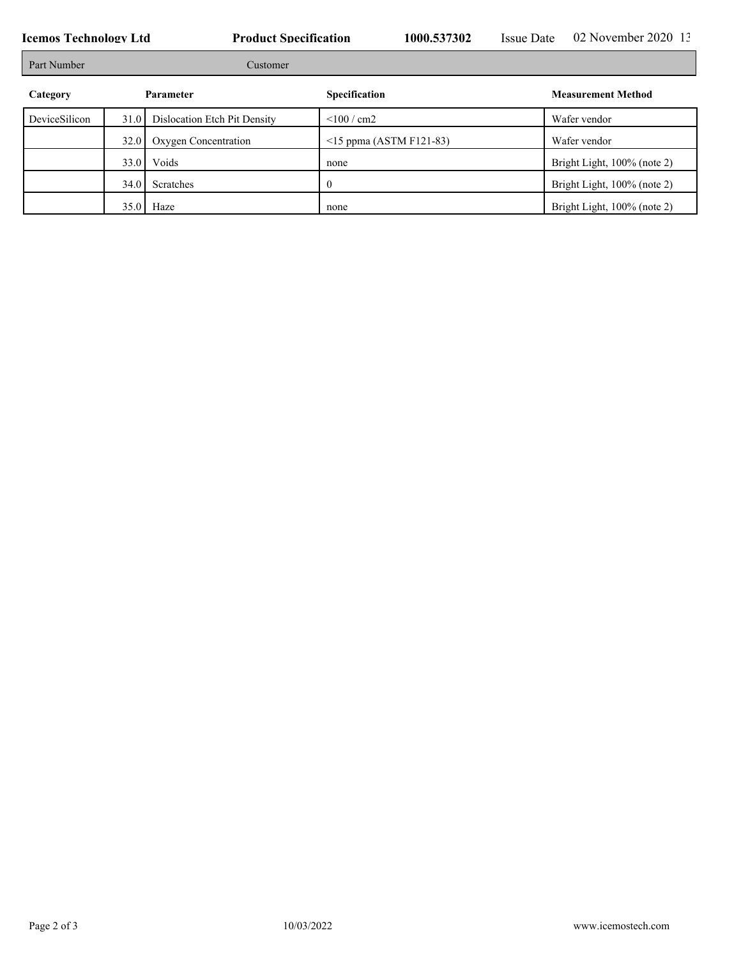**Icemos Technology Ltd Product Specification** 1000.537302 Issue Date 02 November 2020 13:50:57302 **Issue Date** 102 November 2020 13:50:57 Part Number Customer **Category Parameter Parameter Specification Measurement Method** DeviceSilicon 31.0 Dislocation Etch Pit Density <100 / cm2 Wafer vendor 32.0 Oxygen Concentration <15 ppma (ASTM F121-83) Wafer vendor 33.0 Voids none Bright Light, 100% (note 2) 34.0 Scratches 0 Bright Light, 100% (note 2) 35.0 Haze none have none Bright Light, 100% (note 2)